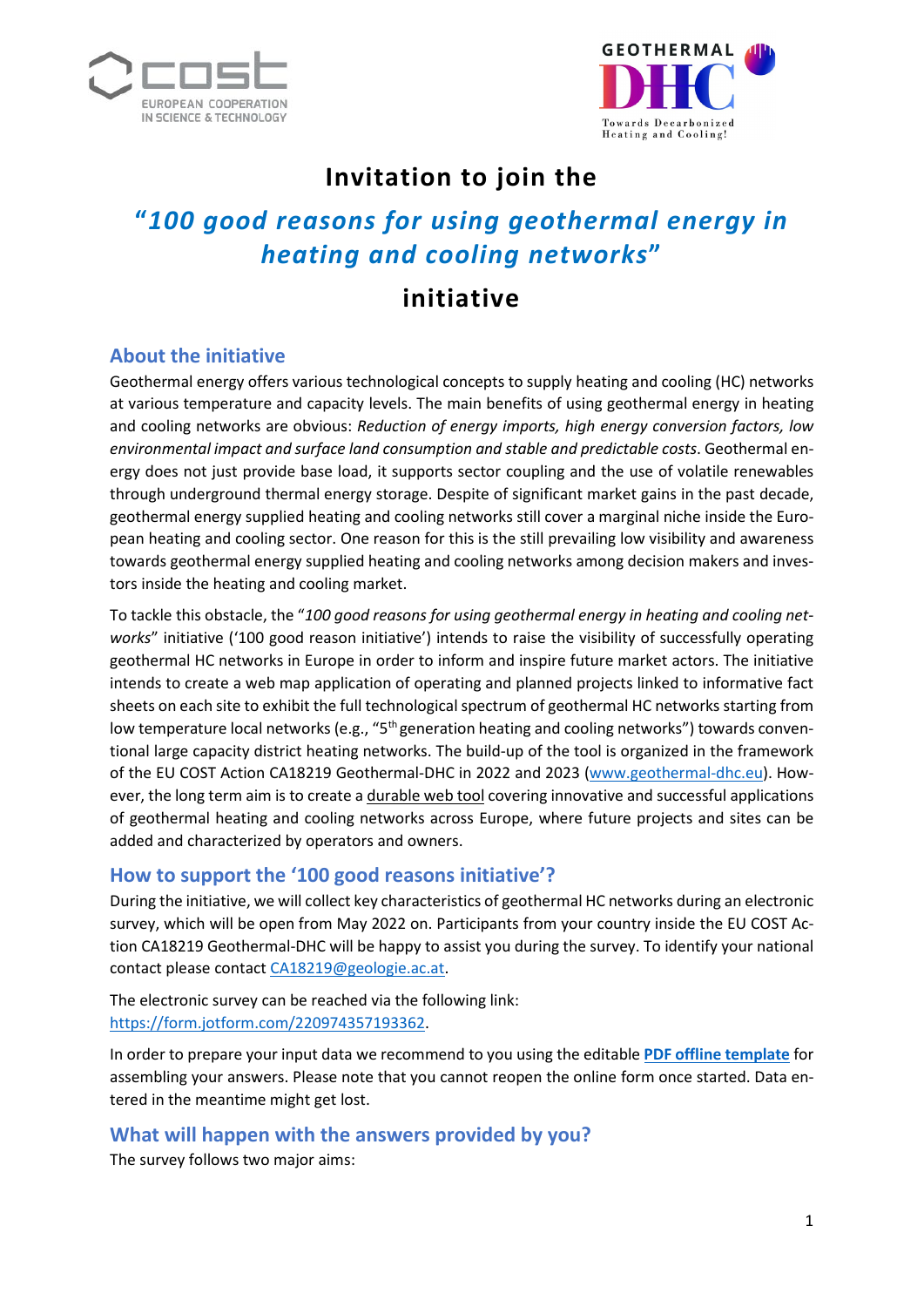



## **Invitation to join the**

# **"***100 good reasons for using geothermal energy in heating and cooling networks***"**

## **initiative**

## **About the initiative**

Geothermal energy offers various technological concepts to supply heating and cooling (HC) networks at various temperature and capacity levels. The main benefits of using geothermal energy in heating and cooling networks are obvious: *Reduction of energy imports, high energy conversion factors, low environmental impact and surface land consumption and stable and predictable costs*. Geothermal energy does not just provide base load, it supports sector coupling and the use of volatile renewables through underground thermal energy storage. Despite of significant market gains in the past decade, geothermal energy supplied heating and cooling networks still cover a marginal niche inside the European heating and cooling sector. One reason for this is the still prevailing low visibility and awareness towards geothermal energy supplied heating and cooling networks among decision makers and investors inside the heating and cooling market.

To tackle this obstacle, the "*100 good reasons for using geothermal energy in heating and cooling networks*" initiative ('100 good reason initiative') intends to raise the visibility of successfully operating geothermal HC networks in Europe in order to inform and inspire future market actors. The initiative intends to create a web map application of operating and planned projects linked to informative fact sheets on each site to exhibit the full technological spectrum of geothermal HC networks starting from low temperature local networks (e.g., " $5<sup>th</sup>$  generation heating and cooling networks") towards conventional large capacity district heating networks. The build-up of the tool is organized in the framework of the EU COST Action CA18219 Geothermal-DHC in 2022 and 2023 [\(www.geothermal-dhc.eu\)](http://www.geothermal-dhc.eu/). However, the long term aim is to create a durable web tool covering innovative and successful applications of geothermal heating and cooling networks across Europe, where future projects and sites can be added and characterized by operators and owners.

## **How to support the '100 good reasons initiative'?**

During the initiative, we will collect key characteristics of geothermal HC networks during an electronic survey, which will be open from May 2022 on. Participants from your country inside the EU COST Action CA18219 Geothermal-DHC will be happy to assist you during the survey. To identify your national contact please contact [CA18219@geologie.ac.at.](mailto:CA18219@geologie.ac.at)

The electronic survey can be reached via the following link: [https://form.jotform.com/220974357193362.](https://smex-ctp.trendmicro.com/wis/clicktime/v1/query?url=https%3a%2f%2fform.jotform.com%2f220974357193362&umid=072481d0-a3d2-44cf-94bf-82c09cd08ca4&auth=8caee22f43e1a5d83f8b43bf25c45be71c35a2c1-7b7509b584697a05f2a2fe8e2111e3eed49327a4)

In order to prepare your input data we recommend to you using the editable **[PDF offline template](https://projects-gba.geologie.ac.at/s/sc2AryiYLrobFtn)** for assembling your answers. Please note that you cannot reopen the online form once started. Data entered in the meantime might get lost.

## **What will happen with the answers provided by you?**

The survey follows two major aims: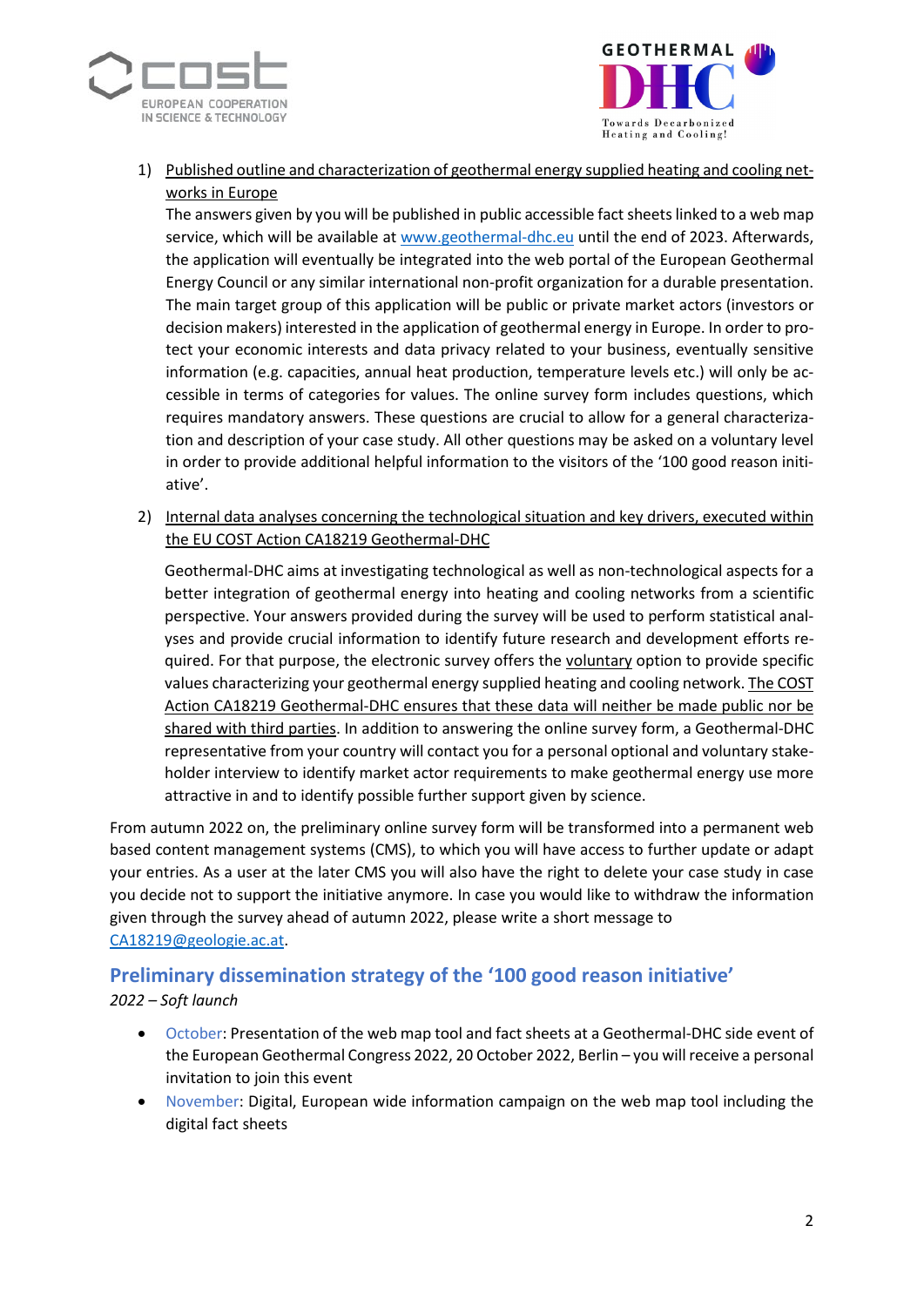



1) Published outline and characterization of geothermal energy supplied heating and cooling networks in Europe

The answers given by you will be published in public accessible fact sheets linked to a web map service, which will be available at [www.geothermal-dhc.eu](http://www.geothermal-dhc.eu/) until the end of 2023. Afterwards, the application will eventually be integrated into the web portal of the European Geothermal Energy Council or any similar international non-profit organization for a durable presentation. The main target group of this application will be public or private market actors (investors or decision makers) interested in the application of geothermal energy in Europe. In order to protect your economic interests and data privacy related to your business, eventually sensitive information (e.g. capacities, annual heat production, temperature levels etc.) will only be accessible in terms of categories for values. The online survey form includes questions, which requires mandatory answers. These questions are crucial to allow for a general characterization and description of your case study. All other questions may be asked on a voluntary level in order to provide additional helpful information to the visitors of the '100 good reason initiative'.

2) Internal data analyses concerning the technological situation and key drivers, executed within the EU COST Action CA18219 Geothermal-DHC

Geothermal-DHC aims at investigating technological as well as non-technological aspects for a better integration of geothermal energy into heating and cooling networks from a scientific perspective. Your answers provided during the survey will be used to perform statistical analyses and provide crucial information to identify future research and development efforts required. For that purpose, the electronic survey offers the voluntary option to provide specific values characterizing your geothermal energy supplied heating and cooling network. The COST Action CA18219 Geothermal-DHC ensures that these data will neither be made public nor be shared with third parties. In addition to answering the online survey form, a Geothermal-DHC representative from your country will contact you for a personal optional and voluntary stakeholder interview to identify market actor requirements to make geothermal energy use more attractive in and to identify possible further support given by science.

From autumn 2022 on, the preliminary online survey form will be transformed into a permanent web based content management systems (CMS), to which you will have access to further update or adapt your entries. As a user at the later CMS you will also have the right to delete your case study in case you decide not to support the initiative anymore. In case you would like to withdraw the information given through the survey ahead of autumn 2022, please write a short message to [CA18219@geologie.ac.at.](mailto:CA18219@geologie.ac.at)

#### **Preliminary dissemination strategy of the '100 good reason initiative'** *2022 – Soft launch*

- October: Presentation of the web map tool and fact sheets at a Geothermal-DHC side event of the European Geothermal Congress 2022, 20 October 2022, Berlin – you will receive a personal invitation to join this event
- November: Digital, European wide information campaign on the web map tool including the digital fact sheets